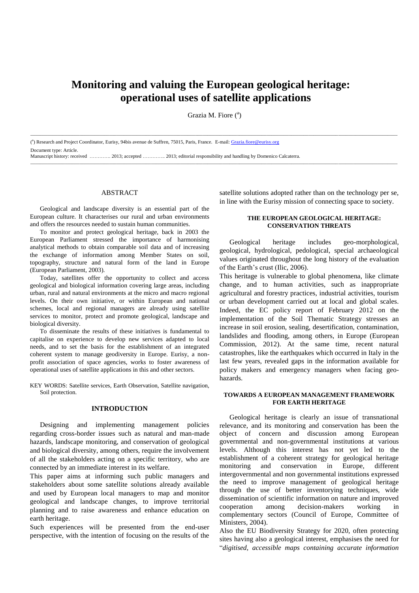# **Monitoring and valuing the European geological heritage: operational uses of satellite applications**

Grazia M. Fiore (<sup>a</sup>)

\_\_\_\_\_\_\_\_\_\_\_\_\_\_\_\_\_\_\_\_\_\_\_\_\_\_\_\_\_\_\_\_\_\_\_\_\_\_\_\_\_\_\_\_\_\_\_\_\_\_\_\_\_\_\_\_\_\_\_\_\_\_\_\_\_\_\_\_\_\_\_\_\_\_\_\_\_\_\_\_\_\_\_\_\_\_\_\_\_\_\_\_\_\_\_\_\_\_\_\_\_\_\_\_\_\_\_\_\_\_\_\_\_\_\_\_\_\_\_\_\_\_\_\_\_\_\_\_\_\_\_\_\_\_\_\_\_\_\_\_\_\_\_\_\_\_\_\_\_

<sup>(a</sup>) Research and Project Coordinator, Eurisy, 94bis avenue de Suffren, 75015, Paris, France. E-mail[: Grazia.fiore@eurisy.org](mailto:Grazia.fiore@eurisy.org) Document type: Article. Manuscript history: received …………. 2013; accepted ………….. 2013; editorial responsibility and handling by Domenico Calcaterra. \_\_\_\_\_\_\_\_\_\_\_\_\_\_\_\_\_\_\_\_\_\_\_\_\_\_\_\_\_\_\_\_\_\_\_\_\_\_\_\_\_\_\_\_\_\_\_\_\_\_\_\_\_\_\_\_\_\_\_\_\_\_\_\_\_\_\_\_\_\_\_\_\_\_\_\_\_\_\_\_\_\_\_\_\_\_\_\_\_\_\_\_\_\_\_\_\_\_\_\_\_\_\_\_\_\_\_\_\_\_\_\_\_\_\_\_\_\_\_\_\_\_\_\_\_\_\_\_\_\_\_\_\_\_\_\_\_\_\_\_\_\_\_\_\_\_\_\_\_

# ABSTRACT

Geological and landscape diversity is an essential part of the European culture. It characterises our rural and urban environments and offers the resources needed to sustain human communities.

To monitor and protect geological heritage, back in 2003 the European Parliament stressed the importance of harmonising analytical methods to obtain comparable soil data and of increasing the exchange of information among Member States on soil, topography, structure and natural form of the land in Europe (European Parliament, 2003).

Today, satellites offer the opportunity to collect and access geological and biological information covering large areas, including urban, rural and natural environments at the micro and macro regional levels. On their own initiative, or within European and national schemes, local and regional managers are already using satellite services to monitor, protect and promote geological, landscape and biological diversity.

To disseminate the results of these initiatives is fundamental to capitalise on experience to develop new services adapted to local needs, and to set the basis for the establishment of an integrated coherent system to manage geodiversity in Europe. Eurisy, a nonprofit association of space agencies, works to foster awareness of operational uses of satellite applications in this and other sectors.

KEY WORDS: Satellite services, Earth Observation, Satellite navigation, Soil protection.

#### **INTRODUCTION**

Designing and implementing management policies regarding cross-border issues such as natural and man-made hazards, landscape monitoring, and conservation of geological and biological diversity, among others, require the involvement of all the stakeholders acting on a specific territory, who are connected by an immediate interest in its welfare.

This paper aims at informing such public managers and stakeholders about some satellite solutions already available and used by European local managers to map and monitor geological and landscape changes, to improve territorial planning and to raise awareness and enhance education on earth heritage.

Such experiences will be presented from the end-user perspective, with the intention of focusing on the results of the satellite solutions adopted rather than on the technology per se, in line with the Eurisy mission of connecting space to society.

# **THE EUROPEAN GEOLOGICAL HERITAGE: CONSERVATION THREATS**

Geological heritage includes geo-morphological, geological, hydrological, pedological, special archaeological values originated throughout the long history of the evaluation of the Earth's crust (Ilic, 2006).

This heritage is vulnerable to global phenomena, like climate change, and to human activities, such as inappropriate agricultural and forestry practices, industrial activities, tourism or urban development carried out at local and global scales. Indeed, the EC policy report of February 2012 on the implementation of the Soil Thematic Strategy stresses an increase in soil erosion, sealing, desertification, contamination, landslides and flooding, among others, in Europe (European Commission, 2012). At the same time, recent natural catastrophes, like the earthquakes which occurred in Italy in the last few years, revealed gaps in the information available for policy makers and emergency managers when facing geohazards.

# **TOWARDS A EUROPEAN MANAGEMENT FRAMEWORK FOR EARTH HERITAGE**

Geological heritage is clearly an issue of transnational relevance, and its monitoring and conservation has been the object of concern and discussion among European governmental and non-governmental institutions at various levels. Although this interest has not yet led to the establishment of a coherent strategy for geological heritage monitoring and conservation in Europe, different intergovernmental and non governmental institutions expressed the need to improve management of geological heritage through the use of better inventorying techniques, wide dissemination of scientific information on nature and improved cooperation among decision-makers working in complementary sectors (Council of Europe, Committee of Ministers, 2004).

Also the EU Biodiversity Strategy for 2020, often protecting sites having also a geological interest, emphasises the need for "*digitised, accessible maps containing accurate information*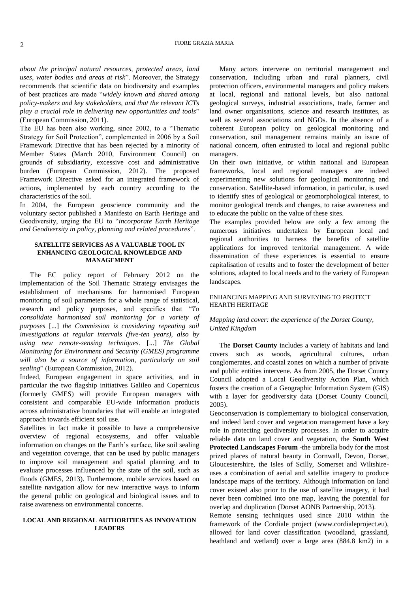#### FIORE GRAZIA MARIA 2

*about the principal natural resources, protected areas, land uses, water bodies and areas at risk*". Moreover, the Strategy recommends that scientific data on biodiversity and examples of best practices are made "*widely known and shared among policy-makers and key stakeholders, and that the relevant ICTs play a crucial role in delivering new opportunities and tools*" (European Commission, 2011).

The EU has been also working, since 2002, to a "Thematic Strategy for Soil Protection", complemented in 2006 by a Soil Framework Directive that has been rejected by a minority of Member States (March 2010, Environment Council) on grounds of subsidiarity, excessive cost and administrative burden (European Commission, 2012). The proposed Framework Directive asked for an integrated framework of actions, implemented by each country according to the characteristics of the soil.

In 2004, the European geoscience community and the voluntary sector published a Manifesto on Earth Heritage and Geodiversity, urging the EU to "*incorporate Earth Heritage and Geodiversity in policy, planning and related procedures*".

## **SATELLITE SERVICES AS A VALUABLE TOOL IN ENHANCING GEOLOGICAL KNOWLEDGE AND MANAGEMENT**

The EC policy report of February 2012 on the implementation of the Soil Thematic Strategy envisages the establishment of mechanisms for harmonised European monitoring of soil parameters for a whole range of statistical, research and policy purposes, and specifies that "*To consolidate harmonised soil monitoring for a variety of purposes* [...] *the Commission is considering repeating soil investigations at regular intervals (five-ten years), also by using new remote-sensing techniques.* [...] *The Global Monitoring for Environment and Security (GMES) programme will also be a source of information, particularly on soil sealing*" (European Commission, 2012).

Indeed, European engagement in space activities, and in particular the two flagship initiatives Galileo and Copernicus (formerly GMES) will provide European managers with consistent and comparable EU-wide information products across administrative boundaries that will enable an integrated approach towards efficient soil use.

Satellites in fact make it possible to have a comprehensive overview of regional ecosystems, and offer valuable information on changes on the Earth's surface, like soil sealing and vegetation coverage, that can be used by public managers to improve soil management and spatial planning and to evaluate processes influenced by the state of the soil, such as floods (GMES, 2013). Furthermore, mobile services based on satellite navigation allow for new interactive ways to inform the general public on geological and biological issues and to raise awareness on environmental concerns.

### **LOCAL AND REGIONAL AUTHORITIES AS INNOVATION LEADERS**

Many actors intervene on territorial management and conservation, including urban and rural planners, civil protection officers, environmental managers and policy makers at local, regional and national levels, but also national geological surveys, industrial associations, trade, farmer and land owner organisations, science and research institutes, as well as several associations and NGOs. In the absence of a coherent European policy on geological monitoring and conservation, soil management remains mainly an issue of national concern, often entrusted to local and regional public managers.

On their own initiative, or within national and European frameworks, local and regional managers are indeed experimenting new solutions for geological monitoring and conservation. Satellite-based information, in particular, is used to identify sites of geological or geomorphological interest, to monitor geological trends and changes, to raise awareness and to educate the public on the value of these sites.

The examples provided below are only a few among the numerous initiatives undertaken by European local and regional authorities to harness the benefits of satellite applications for improved territorial management. A wide dissemination of these experiences is essential to ensure capitalisation of results and to foster the development of better solutions, adapted to local needs and to the variety of European landscapes.

# ENHANCING MAPPING AND SURVEYING TO PROTECT HEARTH HERITAGE

# *Mapping land cover: the experience of the Dorset County, United Kingdom*

The **Dorset County** includes a variety of habitats and land covers such as woods, agricultural cultures, urban conglomerates, and coastal zones on which a number of private and public entities intervene. As from 2005, the Dorset County Council adopted a Local Geodiversity Action Plan, which fosters the creation of a Geographic Information System (GIS) with a layer for geodiversity data (Dorset County Council, 2005).

Geoconservation is complementary to biological conservation, and indeed land cover and vegetation management have a key role in protecting geodiversity processes. In order to acquire reliable data on land cover and vegetation, the **South West Protected Landscapes Forum** -the umbrella body for the most prized places of natural beauty in Cornwall, Devon, Dorset, Gloucestershire, the Isles of Scilly, Somerset and Wiltshireuses a combination of aerial and satellite imagery to produce landscape maps of the territory. Although information on land cover existed also prior to the use of satellite imagery, it had never been combined into one map, leaving the potential for overlap and duplication (Dorset AONB Partnership, 2013).

Remote sensing techniques used since 2010 within the framework of the Cordiale project (www.cordialeproject.eu), allowed for land cover classification (woodland, grassland, heathland and wetland) over a large area (884.8 km2) in a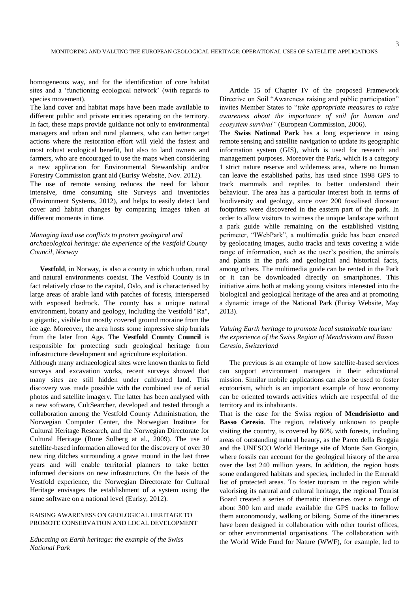homogeneous way, and for the identification of core habitat sites and a 'functioning ecological network' (with regards to species movement).

The land cover and habitat maps have been made available to different public and private entities operating on the territory. In fact, these maps provide guidance not only to environmental managers and urban and rural planners, who can better target actions where the restoration effort will yield the fastest and most robust ecological benefit, but also to land owners and farmers, who are encouraged to use the maps when considering a new application for Environmental Stewardship and/or Forestry Commission grant aid (Eurisy Website, Nov. 2012). The use of remote sensing reduces the need for labour

intensive, time consuming site Surveys and inventories (Environment Systems, 2012), and helps to easily detect land cover and habitat changes by comparing images taken at different moments in time.

# *Managing land use conflicts to protect geological and archaeological heritage: the experience of the Vestfold County Council, Norway*

**Vestfold**, in Norway, is also a county in which urban, rural and natural environments coexist. The Vestfold County is in fact relatively close to the capital, Oslo, and is characterised by large areas of arable land with patches of forests, interspersed with exposed bedrock. The county has a unique natural environment, botany and geology, including the Vestfold "Ra", a gigantic, visible but mostly covered ground moraine from the ice age. Moreover, the area hosts some impressive ship burials from the later Iron Age. The **Vestfold County Council** is responsible for protecting such geological heritage from infrastructure development and agriculture exploitation.

Although many archaeological sites were known thanks to field surveys and excavation works, recent surveys showed that many sites are still hidden under cultivated land. This discovery was made possible with the combined use of aerial photos and satellite imagery. The latter has been analysed with a new software, CultSearcher, developed and tested through a collaboration among the Vestfold County Administration, the Norwegian Computer Center, the Norwegian Institute for Cultural Heritage Research, and the Norwegian Directorate for Cultural Heritage (Rune Solberg at al., 2009). The use of satellite-based information allowed for the discovery of over 30 new ring ditches surrounding a grave mound in the last three years and will enable territorial planners to take better informed decisions on new infrastructure. On the basis of the Vestfold experience, the Norwegian Directorate for Cultural Heritage envisages the establishment of a system using the same software on a national level (Eurisy, 2012).

#### RAISING AWARENESS ON GEOLOGICAL HERITAGE TO PROMOTE CONSERVATION AND LOCAL DEVELOPMENT

*Educating on Earth heritage: the example of the Swiss National Park*

Article 15 of Chapter IV of the proposed Framework Directive on Soil "Awareness raising and public participation" invites Member States to "*take appropriate measures to raise awareness about the importance of soil for human and ecosystem survival"* (European Commission, 2006).

The **Swiss National Park** has a long experience in using remote sensing and satellite navigation to update its geographic information system (GIS), which is used for research and management purposes. Moreover the Park, which is a category 1 strict nature reserve and wilderness area, where no human can leave the established paths, has used since 1998 GPS to track mammals and reptiles to better understand their behaviour. The area has a particular interest both in terms of biodiversity and geology, since over 200 fossilised dinosaur footprints were discovered in the eastern part of the park. In order to allow visitors to witness the unique landscape without a park guide while remaining on the established visiting perimeter, "IWebPark", a multimedia guide has been created by geolocating images, audio tracks and texts covering a wide range of information, such as the user's position, the animals and plants in the park and geological and historical facts, among others. The multimedia guide can be rented in the Park or it can be downloaded directly on smartphones. This initiative aims both at making young visitors interested into the biological and geological heritage of the area and at promoting a dynamic image of the National Park (Eurisy Website, May 2013).

# *Valuing Earth heritage to promote local sustainable tourism: the experience of the Swiss Region of Mendrisiotto and Basso Ceresio, Switzerland*

The previous is an example of how satellite-based services can support environment managers in their educational mission. Similar mobile applications can also be used to foster ecotourism, which is an important example of how economy can be oriented towards activities which are respectful of the territory and its inhabitants.

That is the case for the Swiss region of **Mendrisiotto and Basso Ceresio**. The region, relatively unknown to people visiting the country, is covered by  $60\%$  with forests, including areas of outstanding natural beauty, as the Parco della Breggia and the UNESCO World Heritage site of Monte San Giorgio, where fossils can account for the geological history of the area over the last 240 million years. In addition, the region hosts some endangered habitats and species, included in the Emerald list of protected areas. To foster tourism in the region while valorising its natural and cultural heritage, the regional Tourist Board created a series of thematic itineraries over a range of about 300 km and made available the GPS tracks to follow them autonomously, walking or biking. Some of the itineraries have been designed in collaboration with other tourist offices, or other environmental organisations. The collaboration with the World Wide Fund for Nature (WWF), for example, led to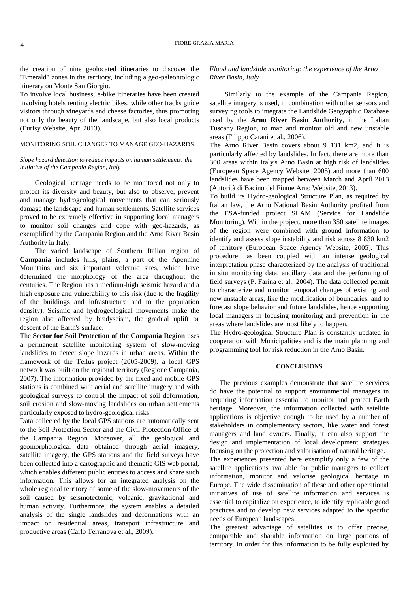FIORE GRAZIA MARIA 4

the creation of nine geolocated itineraries to discover the "Emerald" zones in the territory, including a geo-paleontologic itinerary on Monte San Giorgio.

To involve local business, e-bike itineraries have been created involving hotels renting electric bikes, while other tracks guide visitors through vineyards and cheese factories, thus promoting not only the beauty of the landscape, but also local products (Eurisy Website, Apr. 2013).

# MONITORING SOIL CHANGES TO MANAGE GEO-HAZARDS

### *Slope hazard detection to reduce impacts on human settlements: the initiative of the Campania Region, Italy*

Geological heritage needs to be monitored not only to protect its diversity and beauty, but also to observe, prevent and manage hydrogeological movements that can seriously damage the landscape and human settlements. Satellite services proved to be extremely effective in supporting local managers to monitor soil changes and cope with geo-hazards, as exemplified by the Campania Region and the Arno River Basin Authority in Italy.

The varied landscape of Southern Italian region of **Campania** includes hills, plains, a part of the Apennine Mountains and six important volcanic sites, which have determined the morphology of the area throughout the centuries. The Region has a medium-high seismic hazard and a high exposure and vulnerability to this risk (due to the fragility of the buildings and infrastructure and to the population density). Seismic and hydrogeological movements make the region also affected by bradyseism, the gradual uplift or descent of the Earth's surface.

The **Sector for Soil Protection of the Campania Region** uses a permanent satellite monitoring system of slow-moving landslides to detect slope hazards in urban areas. Within the framework of the Tellus project (2005-2009), a local GPS network was built on the regional territory (Regione Campania, 2007). The information provided by the fixed and mobile GPS stations is combined with aerial and satellite imagery and with geological surveys to control the impact of soil deformation, soil erosion and slow-moving landslides on urban settlements particularly exposed to hydro-geological risks.

Data collected by the local GPS stations are automatically sent to the Soil Protection Sector and the Civil Protection Office of the Campania Region. Moreover, all the geological and geomorphological data obtained through aerial imagery, satellite imagery, the GPS stations and the field surveys have been collected into a cartographic and thematic GIS web portal, which enables different public entities to access and share such information. This allows for an integrated analysis on the whole regional territory of some of the slow-movements of the soil caused by seismotectonic, volcanic, gravitational and human activity. Furthermore, the system enables a detailed analysis of the single landslides and deformations with an impact on residential areas, transport infrastructure and productive areas (Carlo Terranova et al., 2009).

# *Flood and landslide monitoring: the experience of the Arno River Basin, Italy*

Similarly to the example of the Campania Region, satellite imagery is used, in combination with other sensors and surveying tools to integrate the Landslide Geographic Database used by the **Arno River Basin Authority**, in the Italian Tuscany Region, to map and monitor old and new unstable areas (Filippo Catani et al., 2006).

The Arno River Basin covers about 9 131 km2, and it is particularly affected by landslides. In fact, there are more than 300 areas within Italy's Arno Basin at high risk of landslides (European Space Agency Website, 2005) and more than 600 landslides have been mapped between March and April 2013 (Autorità di Bacino del Fiume Arno Website, 2013).

To build its Hydro-geological Structure Plan, as required by Italian law, the Arno National Basin Authority profited from the ESA-funded project SLAM (Service for Landslide Monitoring). Within the project, more than 350 satellite images of the region were combined with ground information to identify and assess slope instability and risk across 8 830 km2 of territory (European Space Agency Website, 2005). This procedure has been coupled with an intense geological interpretation phase characterized by the analysis of traditional in situ monitoring data, ancillary data and the performing of field surveys (P. Farina et al., 2004). The data collected permit to characterize and monitor temporal changes of existing and new unstable areas, like the modification of boundaries, and to forecast slope behavior and future landslides, hence supporting local managers in focusing monitoring and prevention in the areas where landslides are most likely to happen.

The Hydro-geological Structure Plan is constantly updated in cooperation with Municipalities and is the main planning and programming tool for risk reduction in the Arno Basin.

## **CONCLUSIONS**

The previous examples demonstrate that satellite services do have the potential to support environmental managers in acquiring information essential to monitor and protect Earth heritage. Moreover, the information collected with satellite applications is objective enough to be used by a number of stakeholders in complementary sectors, like water and forest managers and land owners. Finally, it can also support the design and implementation of local development strategies focusing on the protection and valorisation of natural heritage.

The experiences presented here exemplify only a few of the satellite applications available for public managers to collect information, monitor and valorise geological heritage in Europe. The wide dissemination of these and other operational initiatives of use of satellite information and services is essential to capitalize on experience, to identify replicable good practices and to develop new services adapted to the specific needs of European landscapes.

The greatest advantage of satellites is to offer precise, comparable and sharable information on large portions of territory. In order for this information to be fully exploited by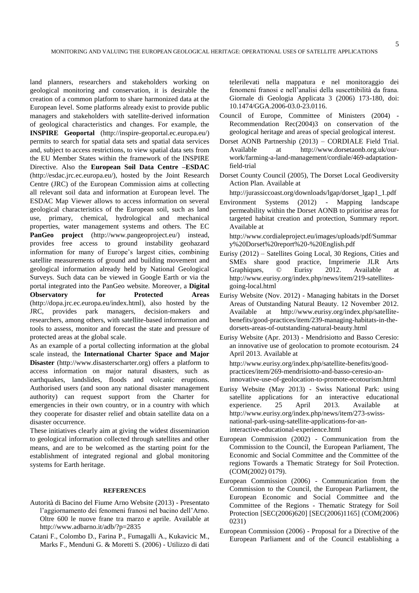land planners, researchers and stakeholders working on geological monitoring and conservation, it is desirable the creation of a common platform to share harmonized data at the European level. Some platforms already exist to provide public managers and stakeholders with satellite-derived information of geological characteristics and changes. For example, the **INSPIRE Geoportal** [\(http://inspire-geoportal.ec.europa.eu/\)](http://inspire-geoportal.ec.europa.eu/) permits to search for spatial data sets and spatial data services and, subject to access restrictions, to view spatial data sets from the EU Member States within the framework of the INSPIRE Directive. Also the **European Soil Data Centre –ESDAC** [\(http://esdac.jrc.ec.europa.eu/\)](http://esdac.jrc.ec.europa.eu/), hosted by the Joint Research Centre (JRC) of the European Commission aims at collecting all relevant soil data and information at European level. The ESDAC Map Viewer allows to access information on several geological characteristics of the European soil, such as land use, primary, chemical, hydrological and mechanical properties, water management systems and others. The EC **PanGeo project** [\(http://www.pangeoproject.eu/\)](http://www.pangeoproject.eu/) instead, provides free access to ground instability geohazard information for many of Europe's largest cities, combining satellite measurements of ground and building movement and geological information already held by National Geological Surveys. Such data can be viewed in Google Earth or via the portal integrated into the PanGeo website. Moreover, a **Digital** 

**Observatory for Protected Areas** [\(http://dopa.jrc.ec.europa.eu/index.html\)](http://dopa.jrc.ec.europa.eu/index.html), also hosted by the JRC, provides park managers, decision-makers and provides park managers, decision-makers and researchers, among others, with satellite-based information and tools to assess, monitor and forecast the state and pressure of protected areas at the global scale.

As an example of a portal collecting information at the global scale instead, the **International Charter Space and Major Disaster** [\(http://www.disasterscharter.org\)](http://www.disasterscharter.org/) offers a platform to access information on major natural disasters, such as earthquakes, landslides, floods and volcanic eruptions. Authorised users (and soon any national disaster management authority) can request support from the Charter for emergencies in their own country, or in a country with which they cooperate for disaster relief and obtain satellite data on a disaster occurrence.

These initiatives clearly aim at giving the widest dissemination to geological information collected through satellites and other means, and are to be welcomed as the starting point for the establishment of integrated regional and global monitoring systems for Earth heritage.

#### **REFERENCES**

- Autorità di Bacino del Fiume Arno Website (2013) Presentato l'aggiornamento dei fenomeni franosi nel bacino dell'Arno. Oltre 600 le nuove frane tra marzo e aprile. Available at <http://www.adbarno.it/adb/?p=2835>
- Catani F., Colombo D., Farina P., Fumagalli A., Kukavicic M., Marks F., Menduni G. & Moretti S. (2006) - Utilizzo di dati

telerilevati nella mappatura e nel monitoraggio dei fenomeni franosi e nell'analisi della suscettibilità da frana. Giornale di Geologia Applicata 3 (2006) 173-180, doi: 10.1474/GGA.2006-03.0-23.0116.

- Council of Europe, Committee of Ministers (2004) Recommendation Rec(2004)3 on conservation of the geological heritage and areas of special geological interest.
- Dorset AONB Partnership (2013) CORDIALE Field Trial. Available at [http://www.dorsetaonb.org.uk/our](http://www.dorsetaonb.org.uk/our-work/farming-a-land-management/cordiale/469-adaptation-field-trial)[work/farming-a-land-management/cordiale/469-adaptation](http://www.dorsetaonb.org.uk/our-work/farming-a-land-management/cordiale/469-adaptation-field-trial)[field-trial](http://www.dorsetaonb.org.uk/our-work/farming-a-land-management/cordiale/469-adaptation-field-trial)
- Dorset County Council (2005), The Dorset Local Geodiversity Action Plan. Available at

[http://jurassiccoast.org/downloads/lgap/dorset\\_lgap1\\_1.pdf](http://jurassiccoast.org/downloads/lgap/dorset_lgap1_1.pdf)

Environment Systems (2012) - Mapping landscape permeability within the Dorset AONB to prioritise areas for targeted habitat creation and protection, Summary report. Available at

[http://www.cordialeproject.eu/images/uploads/pdf/Summar](http://www.cordialeproject.eu/images/uploads/pdf/Summary%20Dorset%20report%20-%20English.pdf) [y%20Dorset%20report%20-%20English.pdf](http://www.cordialeproject.eu/images/uploads/pdf/Summary%20Dorset%20report%20-%20English.pdf)

- Eurisy (2012) Satellites Going Local, 30 Regions, Cities and SMEs share good practice, Imprimerie JLR Arts Graphiques, © Eurisy 2012. Available at [http://www.eurisy.org/index.php/news/item/219-satellites](http://www.eurisy.org/index.php/news/item/219-satellites-going-local.html)[going-local.html](http://www.eurisy.org/index.php/news/item/219-satellites-going-local.html)
- Eurisy Website (Nov. 2012) Managing habitats in the Dorset Areas of Outstanding Natural Beauty. 12 November 2012. Available at [http://www.eurisy.org/index.php/satellite](http://www.eurisy.org/index.php/satellite-benefits/good-practices/item/239-managing-habitats-in-the-dorsets-areas-of-outstanding-natural-beauty.html)[benefits/good-practices/item/239-managing-habitats-in-the](http://www.eurisy.org/index.php/satellite-benefits/good-practices/item/239-managing-habitats-in-the-dorsets-areas-of-outstanding-natural-beauty.html)[dorsets-areas-of-outstanding-natural-beauty.html](http://www.eurisy.org/index.php/satellite-benefits/good-practices/item/239-managing-habitats-in-the-dorsets-areas-of-outstanding-natural-beauty.html)
- Eurisy Website (Apr. 2013) Mendrisiotto and Basso Ceresio: an innovative use of geolocation to promote ecotourism. 24 April 2013. Available at

[http://www.eurisy.org/index.php/satellite-benefits/good](http://www.eurisy.org/index.php/satellite-benefits/good-practices/item/269-mendrisiotto-and-basso-ceresio-an-innovative-use-of-geolocation-to-promote-ecotourism.html)[practices/item/269-mendrisiotto-and-basso-ceresio-an](http://www.eurisy.org/index.php/satellite-benefits/good-practices/item/269-mendrisiotto-and-basso-ceresio-an-innovative-use-of-geolocation-to-promote-ecotourism.html)[innovative-use-of-geolocation-to-promote-ecotourism.html](http://www.eurisy.org/index.php/satellite-benefits/good-practices/item/269-mendrisiotto-and-basso-ceresio-an-innovative-use-of-geolocation-to-promote-ecotourism.html)

- Eurisy Website (May 2013) Swiss National Park: using satellite applications for an interactive educational experience. 25 April 2013. Available at [http://www.eurisy.org/index.php/news/item/273-swiss](http://www.eurisy.org/index.php/news/item/273-swiss-national-park-using-satellite-applications-for-an-interactive-educational-experience.html)[national-park-using-satellite-applications-for-an](http://www.eurisy.org/index.php/news/item/273-swiss-national-park-using-satellite-applications-for-an-interactive-educational-experience.html)[interactive-educational-experience.html](http://www.eurisy.org/index.php/news/item/273-swiss-national-park-using-satellite-applications-for-an-interactive-educational-experience.html)
- European Commission (2002) Communication from the Commission to the Council, the European Parliament, The Economic and Social Committee and the Committee of the regions Towards a Thematic Strategy for Soil Protection. (COM(2002) 0179).
- European Commission (2006) Communication from the Commission to the Council, the European Parliament, the European Economic and Social Committee and the Committee of the Regions - Thematic Strategy for Soil Protection [SEC(2006)620] [SEC(2006)1165] (COM(2006) 0231)
- European Commission (2006) Proposal for a Directive of the European Parliament and of the Council establishing a